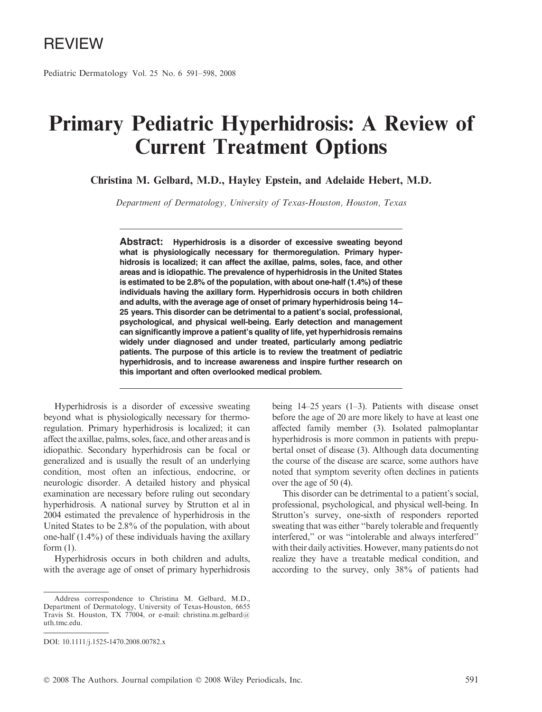Pediatric Dermatology Vol. 25 No. 6 591–598, 2008

# Primary Pediatric Hyperhidrosis: A Review of Current Treatment Options

Christina M. Gelbard, M.D., Hayley Epstein, and Adelaide Hebert, M.D.

Department of Dermatology, University of Texas-Houston, Houston, Texas

Abstract: Hyperhidrosis is a disorder of excessive sweating beyond what is physiologically necessary for thermoregulation. Primary hyperhidrosis is localized; it can affect the axillae, palms, soles, face, and other areas and is idiopathic. The prevalence of hyperhidrosis in the United States is estimated to be 2.8% of the population, with about one-half (1.4%) of these individuals having the axillary form. Hyperhidrosis occurs in both children and adults, with the average age of onset of primary hyperhidrosis being 14– 25 years. This disorder can be detrimental to a patient's social, professional, psychological, and physical well-being. Early detection and management can significantly improve a patient's quality of life, yet hyperhidrosis remains widely under diagnosed and under treated, particularly among pediatric patients. The purpose of this article is to review the treatment of pediatric hyperhidrosis, and to increase awareness and inspire further research on this important and often overlooked medical problem.

Hyperhidrosis is a disorder of excessive sweating beyond what is physiologically necessary for thermoregulation. Primary hyperhidrosis is localized; it can affect the axillae, palms, soles, face, and other areas and is idiopathic. Secondary hyperhidrosis can be focal or generalized and is usually the result of an underlying condition, most often an infectious, endocrine, or neurologic disorder. A detailed history and physical examination are necessary before ruling out secondary hyperhidrosis. A national survey by Strutton et al in 2004 estimated the prevalence of hyperhidrosis in the United States to be 2.8% of the population, with about one-half (1.4%) of these individuals having the axillary form (1).

Hyperhidrosis occurs in both children and adults, with the average age of onset of primary hyperhidrosis being 14–25 years (1–3). Patients with disease onset before the age of 20 are more likely to have at least one affected family member (3). Isolated palmoplantar hyperhidrosis is more common in patients with prepubertal onset of disease (3). Although data documenting the course of the disease are scarce, some authors have noted that symptom severity often declines in patients over the age of 50 (4).

This disorder can be detrimental to a patient's social, professional, psychological, and physical well-being. In Strutton's survey, one-sixth of responders reported sweating that was either ''barely tolerable and frequently interfered,'' or was ''intolerable and always interfered'' with their daily activities. However, many patients do not realize they have a treatable medical condition, and according to the survey, only 38% of patients had

Address correspondence to Christina M. Gelbard, M.D., Department of Dermatology, University of Texas-Houston, 6655 Travis St. Houston, TX 77004, or e-mail: christina.m.gelbard@ uth.tmc.edu.

DOI: 10.1111/j.1525-1470.2008.00782.x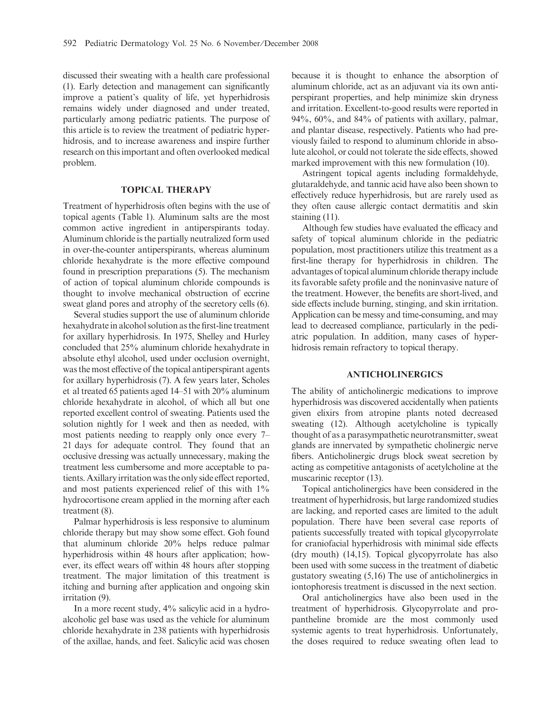discussed their sweating with a health care professional (1). Early detection and management can significantly improve a patient's quality of life, yet hyperhidrosis remains widely under diagnosed and under treated, particularly among pediatric patients. The purpose of this article is to review the treatment of pediatric hyperhidrosis, and to increase awareness and inspire further research on this important and often overlooked medical problem.

## TOPICAL THERAPY

Treatment of hyperhidrosis often begins with the use of topical agents (Table 1). Aluminum salts are the most common active ingredient in antiperspirants today. Aluminum chloride is the partially neutralized form used in over-the-counter antiperspirants, whereas aluminum chloride hexahydrate is the more effective compound found in prescription preparations (5). The mechanism of action of topical aluminum chloride compounds is thought to involve mechanical obstruction of eccrine sweat gland pores and atrophy of the secretory cells (6).

Several studies support the use of aluminum chloride hexahydrate in alcohol solution as the first-line treatment for axillary hyperhidrosis. In 1975, Shelley and Hurley concluded that 25% aluminum chloride hexahydrate in absolute ethyl alcohol, used under occlusion overnight, was the most effective of the topical antiperspirant agents for axillary hyperhidrosis (7). A few years later, Scholes et al treated 65 patients aged 14–51 with 20% aluminum chloride hexahydrate in alcohol, of which all but one reported excellent control of sweating. Patients used the solution nightly for 1 week and then as needed, with most patients needing to reapply only once every 7– 21 days for adequate control. They found that an occlusive dressing was actually unnecessary, making the treatment less cumbersome and more acceptable to patients. Axillary irritation was the only side effect reported, and most patients experienced relief of this with  $1\%$ hydrocortisone cream applied in the morning after each treatment (8).

Palmar hyperhidrosis is less responsive to aluminum chloride therapy but may show some effect. Goh found that aluminum chloride 20% helps reduce palmar hyperhidrosis within 48 hours after application; however, its effect wears off within 48 hours after stopping treatment. The major limitation of this treatment is itching and burning after application and ongoing skin irritation (9).

In a more recent study, 4% salicylic acid in a hydroalcoholic gel base was used as the vehicle for aluminum chloride hexahydrate in 238 patients with hyperhidrosis of the axillae, hands, and feet. Salicylic acid was chosen

because it is thought to enhance the absorption of aluminum chloride, act as an adjuvant via its own antiperspirant properties, and help minimize skin dryness and irritation. Excellent-to-good results were reported in 94%, 60%, and 84% of patients with axillary, palmar, and plantar disease, respectively. Patients who had previously failed to respond to aluminum chloride in absolute alcohol, or could not tolerate the side effects, showed marked improvement with this new formulation (10).

Astringent topical agents including formaldehyde, glutaraldehyde, and tannic acid have also been shown to effectively reduce hyperhidrosis, but are rarely used as they often cause allergic contact dermatitis and skin staining (11).

Although few studies have evaluated the efficacy and safety of topical aluminum chloride in the pediatric population, most practitioners utilize this treatment as a first-line therapy for hyperhidrosis in children. The advantages of topical aluminum chloride therapy include its favorable safety profile and the noninvasive nature of the treatment. However, the benefits are short-lived, and side effects include burning, stinging, and skin irritation. Application can be messy and time-consuming, and may lead to decreased compliance, particularly in the pediatric population. In addition, many cases of hyperhidrosis remain refractory to topical therapy.

#### ANTICHOLINERGICS

The ability of anticholinergic medications to improve hyperhidrosis was discovered accidentally when patients given elixirs from atropine plants noted decreased sweating (12). Although acetylcholine is typically thought of as a parasympathetic neurotransmitter, sweat glands are innervated by sympathetic cholinergic nerve fibers. Anticholinergic drugs block sweat secretion by acting as competitive antagonists of acetylcholine at the muscarinic receptor  $(13)$ .

Topical anticholinergics have been considered in the treatment of hyperhidrosis, but large randomized studies are lacking, and reported cases are limited to the adult population. There have been several case reports of patients successfully treated with topical glycopyrrolate for craniofacial hyperhidrosis with minimal side effects (dry mouth) (14,15). Topical glycopyrrolate has also been used with some success in the treatment of diabetic gustatory sweating (5,16) The use of anticholinergics in iontophoresis treatment is discussed in the next section.

Oral anticholinergics have also been used in the treatment of hyperhidrosis. Glycopyrrolate and propantheline bromide are the most commonly used systemic agents to treat hyperhidrosis. Unfortunately, the doses required to reduce sweating often lead to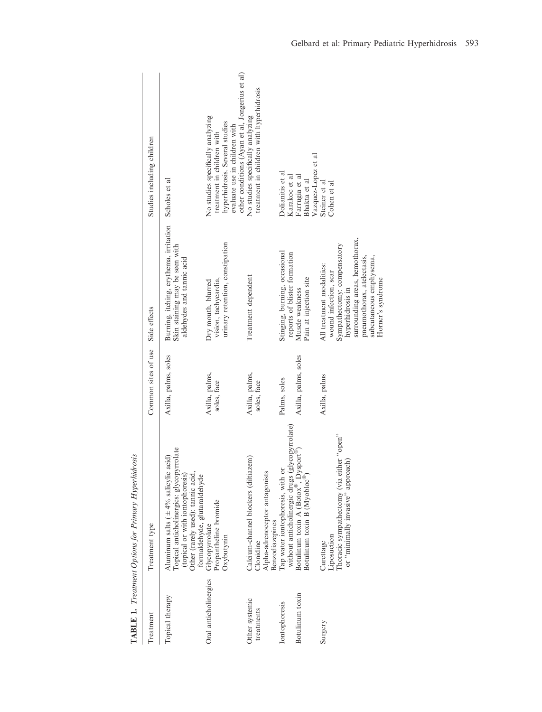| <b>I</b> reatment                | Treatment type                                                                                                                                                                           | Common sites of use                  | Side effects                                                                                                                                                                                                          | Studies including children                                                                                                                                                           |
|----------------------------------|------------------------------------------------------------------------------------------------------------------------------------------------------------------------------------------|--------------------------------------|-----------------------------------------------------------------------------------------------------------------------------------------------------------------------------------------------------------------------|--------------------------------------------------------------------------------------------------------------------------------------------------------------------------------------|
| Topical therapy                  | Topical anticholinergics: glycopyrrolate<br>Aluminum salts ( $\pm$ 4% salicylic acid)<br>(topical or with iontophoresis)<br>Other (rarely used): tannic acid,                            | Axilla, palms, soles                 | Burning, itching, erythema, irritation<br>Skin staining may be seen with<br>aldehydes and tannic acid                                                                                                                 | Scholes et al                                                                                                                                                                        |
| Oral anticholinergics            | formaldehyde, glutaraldehyde<br>Propantheline bromide<br>Glycopyrrolate<br>Oxybutynin                                                                                                    | Axilla, palms,<br>soles, face        | urinary retention, constipation<br>vision, tachycardia,<br>Dry mouth, blurred                                                                                                                                         | other conditions (Ayan et al, Jongerius et al)<br>No studies specifically analyzing<br>hyperhidrosis. Several studies<br>evaluate use in children with<br>treatment in children with |
| Other systemic<br>treatments     | Calcium-channel blockers (diltiazem)<br>Alpha-adrenoceptor antagonists<br>Benzodiazepines<br>Clonidine                                                                                   | Axilla, palms,<br>soles, face        | Treatment dependent                                                                                                                                                                                                   | treatment in children with hyperhidrosis<br>No studies specifically analyzing                                                                                                        |
| Botulinum toxin<br>Iontophoresis | without anticholinergic drugs (glycopyrrolate)<br>botulinum toxin A (Botox®, Dysport®)<br>Actulinum toxin B (Myobloc®)<br>Tap water iontophoresis, with or<br>Botulinum toxin A (Botox®, | Axilla, palms, soles<br>Palms, soles | Stinging, burning, occasional<br>reports of blister formation<br>Muscle weakness                                                                                                                                      | Dolianitis et al<br>Karakoc et al<br>Farrugia et al                                                                                                                                  |
|                                  | Botulinum toxin B (Myobloc'                                                                                                                                                              |                                      | Pain at injection site                                                                                                                                                                                                | Vazquez-Lopez et al<br>Bhakta et al                                                                                                                                                  |
| Surgery                          | either "open"<br>or "minimally invasive" approach)<br>Thoracic sympathectomy (via<br>Liposuction<br>Curettage                                                                            | Axilla, palms                        | surrounding areas, hemothorax,<br>Sympathectomy: compensatory<br>pneumothorax, atelectasis,<br>subcutaneous emphysema,<br>All treatment modalities:<br>wound infection, scar<br>Horner's syndrome<br>hyperhidrosis in | Steiner et al<br>Cohen et al                                                                                                                                                         |

TABLE 1. Treatment Options for Primary Hyperhidrosis TABLE 1. Treatment Options for Primary Hyperhidrosis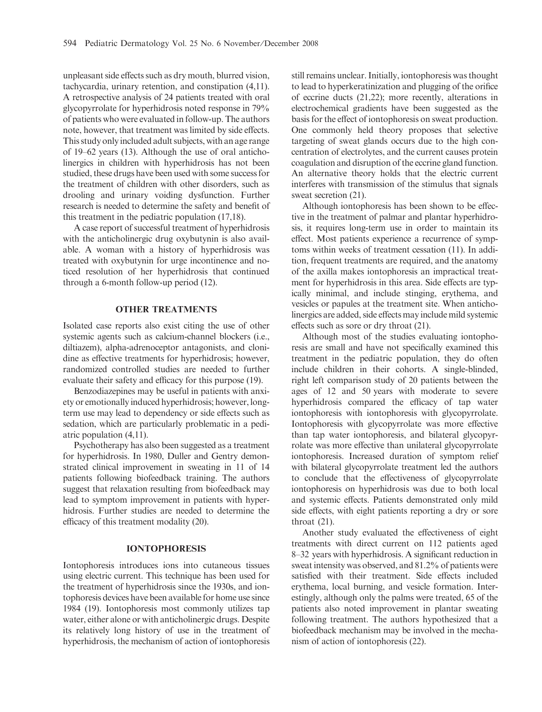unpleasant side effects such as dry mouth, blurred vision, tachycardia, urinary retention, and constipation (4,11). A retrospective analysis of 24 patients treated with oral glycopyrrolate for hyperhidrosis noted response in 79% of patients who were evaluated in follow-up. The authors note, however, that treatment was limited by side effects. This study only included adult subjects, with an age range of 19–62 years (13). Although the use of oral anticholinergics in children with hyperhidrosis has not been studied, these drugs have been used with some success for the treatment of children with other disorders, such as drooling and urinary voiding dysfunction. Further research is needed to determine the safety and benefit of this treatment in the pediatric population (17,18).

A case report of successful treatment of hyperhidrosis with the anticholinergic drug oxybutynin is also available. A woman with a history of hyperhidrosis was treated with oxybutynin for urge incontinence and noticed resolution of her hyperhidrosis that continued through a 6-month follow-up period (12).

#### OTHER TREATMENTS

Isolated case reports also exist citing the use of other systemic agents such as calcium-channel blockers (i.e., diltiazem), alpha-adrenoceptor antagonists, and clonidine as effective treatments for hyperhidrosis; however, randomized controlled studies are needed to further evaluate their safety and efficacy for this purpose (19).

Benzodiazepines may be useful in patients with anxiety or emotionally induced hyperhidrosis; however, longterm use may lead to dependency or side effects such as sedation, which are particularly problematic in a pediatric population (4,11).

Psychotherapy has also been suggested as a treatment for hyperhidrosis. In 1980, Duller and Gentry demonstrated clinical improvement in sweating in 11 of 14 patients following biofeedback training. The authors suggest that relaxation resulting from biofeedback may lead to symptom improvement in patients with hyperhidrosis. Further studies are needed to determine the efficacy of this treatment modality (20).

## IONTOPHORESIS

Iontophoresis introduces ions into cutaneous tissues using electric current. This technique has been used for the treatment of hyperhidrosis since the 1930s, and iontophoresis devices have been available for home use since 1984 (19). Iontophoresis most commonly utilizes tap water, either alone or with anticholinergic drugs. Despite its relatively long history of use in the treatment of hyperhidrosis, the mechanism of action of iontophoresis still remains unclear. Initially, iontophoresis was thought to lead to hyperkeratinization and plugging of the orifice of eccrine ducts (21,22); more recently, alterations in electrochemical gradients have been suggested as the basis for the effect of iontophoresis on sweat production. One commonly held theory proposes that selective targeting of sweat glands occurs due to the high concentration of electrolytes, and the current causes protein coagulation and disruption of the eccrine gland function. An alternative theory holds that the electric current interferes with transmission of the stimulus that signals sweat secretion (21).

Although iontophoresis has been shown to be effective in the treatment of palmar and plantar hyperhidrosis, it requires long-term use in order to maintain its effect. Most patients experience a recurrence of symptoms within weeks of treatment cessation (11). In addition, frequent treatments are required, and the anatomy of the axilla makes iontophoresis an impractical treatment for hyperhidrosis in this area. Side effects are typically minimal, and include stinging, erythema, and vesicles or papules at the treatment site. When anticholinergics are added, side effects may include mild systemic effects such as sore or dry throat (21).

Although most of the studies evaluating iontophoresis are small and have not specifically examined this treatment in the pediatric population, they do often include children in their cohorts. A single-blinded, right left comparison study of 20 patients between the ages of 12 and 50 years with moderate to severe hyperhidrosis compared the efficacy of tap water iontophoresis with iontophoresis with glycopyrrolate. Iontophoresis with glycopyrrolate was more effective than tap water iontophoresis, and bilateral glycopyrrolate was more effective than unilateral glycopyrrolate iontophoresis. Increased duration of symptom relief with bilateral glycopyrrolate treatment led the authors to conclude that the effectiveness of glycopyrrolate iontophoresis on hyperhidrosis was due to both local and systemic effects. Patients demonstrated only mild side effects, with eight patients reporting a dry or sore throat (21).

Another study evaluated the effectiveness of eight treatments with direct current on 112 patients aged 8–32 years with hyperhidrosis. A significant reduction in sweat intensity was observed, and 81.2% of patients were satisfied with their treatment. Side effects included erythema, local burning, and vesicle formation. Interestingly, although only the palms were treated, 65 of the patients also noted improvement in plantar sweating following treatment. The authors hypothesized that a biofeedback mechanism may be involved in the mechanism of action of iontophoresis (22).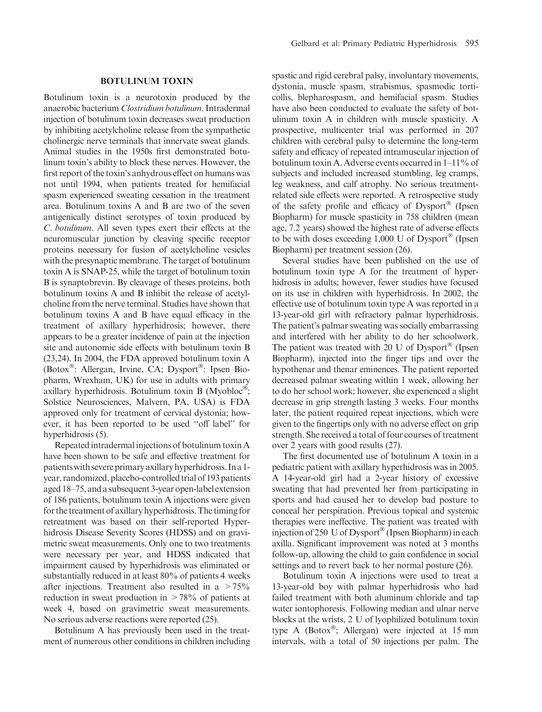#### BOTULINUM TOXIN

Botulinum toxin is a neurotoxin produced by the anaerobic bacterium Clostridium botulinum. Intradermal injection of botulinum toxin decreases sweat production by inhibiting acetylcholine release from the sympathetic cholinergic nerve terminals that innervate sweat glands. Animal studies in the 1950s first demonstrated botulinum toxin's ability to block these nerves. However, the first report of the toxin's anhydrous effect on humans was not until 1994, when patients treated for hemifacial spasm experienced sweating cessation in the treatment area. Botulinum toxins A and B are two of the seven antigenically distinct serotypes of toxin produced by C. botulinum. All seven types exert their effects at the neuromuscular junction by cleaving specific receptor proteins necessary for fusion of acetylcholine vesicles with the presynaptic membrane. The target of botulinum toxin A is SNAP-25, while the target of botulinum toxin B is synaptobrevin. By cleavage of theses proteins, both botulinum toxins A and B inhibit the release of acetylcholine from the nerve terminal. Studies have shown that botulinum toxins A and B have equal efficacy in the treatment of axillary hyperhidrosis; however, there appears to be a greater incidence of pain at the injection site and autonomic side effects with botulinum toxin B (23,24). In 2004, the FDA approved botulinum toxin A (Botox<sup>®</sup>: Allergan, Irvine, CA; Dysport<sup>®</sup>: Ipsen Biopharm, Wrexham, UK) for use in adults with primary axillary hyperhidrosis. Botulinum toxin B (Myobloc<sup>®</sup>; Solstice Neurosciences, Malvern, PA, USA) is FDA approved only for treatment of cervical dystonia; however, it has been reported to be used ''off label'' for hyperhidrosis (5).

Repeated intradermal injections of botulinum toxin A have been shown to be safe and effective treatment for patientswith severeprimary axillaryhyperhidrosis. In a 1 year, randomized, placebo-controlled trial of 193 patients aged 18–75, and a subsequent 3-year open-label extension of 186 patients, botulinum toxin A injections were given for the treatment of axillary hyperhidrosis. The timing for retreatment was based on their self-reported Hyperhidrosis Disease Severity Scores (HDSS) and on gravimetric sweat measurements. Only one to two treatments were necessary per year, and HDSS indicated that impairment caused by hyperhidrosis was eliminated or substantially reduced in at least 80% of patients 4 weeks after injections. Treatment also resulted in a  $> 75\%$ reduction in sweat production in  $>78\%$  of patients at week 4, based on gravimetric sweat measurements. No serious adverse reactions were reported (25).

Botulinum A has previously been used in the treatment of numerous other conditions in children including spastic and rigid cerebral palsy, involuntary movements, dystonia, muscle spasm, strabismus, spasmodic torticollis, blepharospasm, and hemifacial spasm. Studies have also been conducted to evaluate the safety of botulinum toxin A in children with muscle spasticity. A prospective, multicenter trial was performed in 207 children with cerebral palsy to determine the long-term safety and efficacy of repeated intramuscular injection of botulinum toxin A. Adverse events occurred in 1–11% of subjects and included increased stumbling, leg cramps, leg weakness, and calf atrophy. No serious treatmentrelated side effects were reported. A retrospective study of the safety profile and efficacy of  $Dysport^{\circledR}$  (Ipsen Biopharm) for muscle spasticity in 758 children (mean age, 7.2 years) showed the highest rate of adverse effects to be with doses exceeding 1,000 U of Dysport® (Ipsen Biopharm) per treatment session (26).

Several studies have been published on the use of botulinum toxin type A for the treatment of hyperhidrosis in adults; however, fewer studies have focused on its use in children with hyperhidrosis. In 2002, the effective use of botulinum toxin type A was reported in a 13-year-old girl with refractory palmar hyperhidrosis. The patient's palmar sweating was socially embarrassing and interfered with her ability to do her schoolwork. The patient was treated with 20 U of  $Dysport^{\circledR}$  (Ipsen Biopharm), injected into the finger tips and over the hypothenar and thenar eminences. The patient reported decreased palmar sweating within 1 week, allowing her to do her school work; however, she experienced a slight decrease in grip strength lasting 3 weeks. Four months later, the patient required repeat injections, which were given to the fingertips only with no adverse effect on grip strength. She received a total of four courses of treatment over 2 years with good results (27).

The first documented use of botulinum A toxin in a pediatric patient with axillary hyperhidrosis was in 2005. A 14-year-old girl had a 2-year history of excessive sweating that had prevented her from participating in sports and had caused her to develop bad posture to conceal her perspiration. Previous topical and systemic therapies were ineffective. The patient was treated with injection of 250 U of Dysport<sup>®</sup> (Ipsen Biopharm) in each axilla. Significant improvement was noted at 3 months follow-up, allowing the child to gain confidence in social settings and to revert back to her normal posture (26).

Botulinum toxin A injections were used to treat a 13-year-old boy with palmar hyperhidrosis who had failed treatment with both aluminum chloride and tap water iontophoresis. Following median and ulnar nerve blocks at the wrists, 2 U of lyophilized botulinum toxin type A (Botox®; Allergan) were injected at 15 mm intervals, with a total of 50 injections per palm. The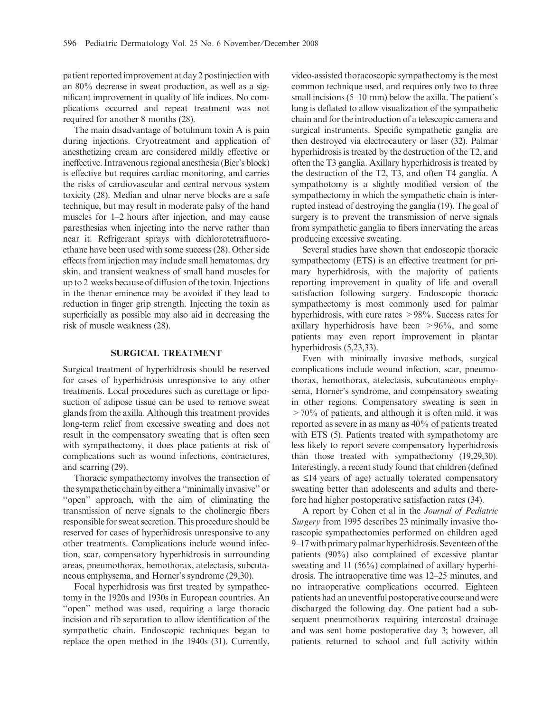patient reported improvement at day 2 postinjection with an 80% decrease in sweat production, as well as a significant improvement in quality of life indices. No complications occurred and repeat treatment was not required for another 8 months (28).

The main disadvantage of botulinum toxin A is pain during injections. Cryotreatment and application of anesthetizing cream are considered mildly effective or ineffective. Intravenous regional anesthesia (Bier's block) is effective but requires cardiac monitoring, and carries the risks of cardiovascular and central nervous system toxicity (28). Median and ulnar nerve blocks are a safe technique, but may result in moderate palsy of the hand muscles for 1–2 hours after injection, and may cause paresthesias when injecting into the nerve rather than near it. Refrigerant sprays with dichlorotetrafluoroethane have been used with some success (28). Other side effects from injection may include small hematomas, dry skin, and transient weakness of small hand muscles for up to 2 weeks because of diffusion of the toxin. Injections in the thenar eminence may be avoided if they lead to reduction in finger grip strength. Injecting the toxin as superficially as possible may also aid in decreasing the risk of muscle weakness (28).

# SURGICAL TREATMENT

Surgical treatment of hyperhidrosis should be reserved for cases of hyperhidrosis unresponsive to any other treatments. Local procedures such as curettage or liposuction of adipose tissue can be used to remove sweat glands from the axilla. Although this treatment provides long-term relief from excessive sweating and does not result in the compensatory sweating that is often seen with sympathectomy, it does place patients at risk of complications such as wound infections, contractures, and scarring (29).

Thoracic sympathectomy involves the transection of the sympathetic chain by either a ''minimally invasive'' or ''open'' approach, with the aim of eliminating the transmission of nerve signals to the cholinergic fibers responsible for sweat secretion. This procedure should be reserved for cases of hyperhidrosis unresponsive to any other treatments. Complications include wound infection, scar, compensatory hyperhidrosis in surrounding areas, pneumothorax, hemothorax, atelectasis, subcutaneous emphysema, and Horner's syndrome (29,30).

Focal hyperhidrosis was first treated by sympathectomy in the 1920s and 1930s in European countries. An ''open'' method was used, requiring a large thoracic incision and rib separation to allow identification of the sympathetic chain. Endoscopic techniques began to replace the open method in the 1940s (31). Currently, video-assisted thoracoscopic sympathectomy is the most common technique used, and requires only two to three small incisions (5–10 mm) below the axilla. The patient's lung is deflated to allow visualization of the sympathetic chain and for the introduction of a telescopic camera and surgical instruments. Specific sympathetic ganglia are then destroyed via electrocautery or laser (32). Palmar hyperhidrosis is treated by the destruction of the T2, and often the T3 ganglia. Axillary hyperhidrosis is treated by the destruction of the T2, T3, and often T4 ganglia. A sympathotomy is a slightly modified version of the sympathectomy in which the sympathetic chain is interrupted instead of destroying the ganglia (19). The goal of surgery is to prevent the transmission of nerve signals from sympathetic ganglia to fibers innervating the areas producing excessive sweating.

Several studies have shown that endoscopic thoracic sympathectomy (ETS) is an effective treatment for primary hyperhidrosis, with the majority of patients reporting improvement in quality of life and overall satisfaction following surgery. Endoscopic thoracic sympathectomy is most commonly used for palmar hyperhidrosis, with cure rates >98%. Success rates for axillary hyperhidrosis have been  $>96\%$ , and some patients may even report improvement in plantar hyperhidrosis (5,23,33).

Even with minimally invasive methods, surgical complications include wound infection, scar, pneumothorax, hemothorax, atelectasis, subcutaneous emphysema, Horner's syndrome, and compensatory sweating in other regions. Compensatory sweating is seen in >70% of patients, and although it is often mild, it was reported as severe in as many as 40% of patients treated with ETS (5). Patients treated with sympathotomy are less likely to report severe compensatory hyperhidrosis than those treated with sympathectomy (19,29,30). Interestingly, a recent study found that children (defined as  $\leq$ 14 years of age) actually tolerated compensatory sweating better than adolescents and adults and therefore had higher postoperative satisfaction rates (34).

A report by Cohen et al in the Journal of Pediatric Surgery from 1995 describes 23 minimally invasive thorascopic sympathectomies performed on children aged 9–17 with primary palmar hyperhidrosis. Seventeen of the patients (90%) also complained of excessive plantar sweating and 11 (56%) complained of axillary hyperhidrosis. The intraoperative time was 12–25 minutes, and no intraoperative complications occurred. Eighteen patients had an uneventful postoperative course and were discharged the following day. One patient had a subsequent pneumothorax requiring intercostal drainage and was sent home postoperative day 3; however, all patients returned to school and full activity within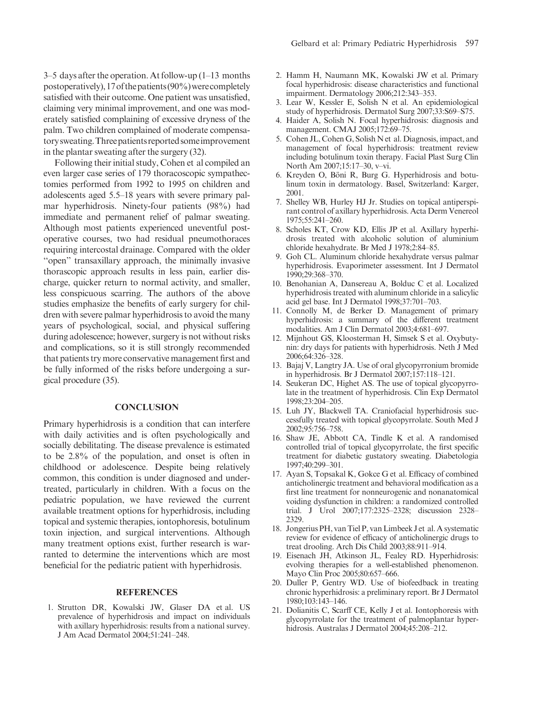3–5 days after the operation. At follow-up (1–13 months postoperatively), 17 of the patients  $(90\%)$  were completely satisfied with their outcome. One patient was unsatisfied, claiming very minimal improvement, and one was moderately satisfied complaining of excessive dryness of the palm. Two children complained of moderate compensatory sweating. Three patients reported some improvement in the plantar sweating after the surgery (32).

Following their initial study, Cohen et al compiled an even larger case series of 179 thoracoscopic sympathectomies performed from 1992 to 1995 on children and adolescents aged 5.5–18 years with severe primary palmar hyperhidrosis. Ninety-four patients (98%) had immediate and permanent relief of palmar sweating. Although most patients experienced uneventful postoperative courses, two had residual pneumothoraces requiring intercostal drainage. Compared with the older ''open'' transaxillary approach, the minimally invasive thorascopic approach results in less pain, earlier discharge, quicker return to normal activity, and smaller, less conspicuous scarring. The authors of the above studies emphasize the benefits of early surgery for children with severe palmar hyperhidrosis to avoid the many years of psychological, social, and physical suffering during adolescence; however, surgery is not without risks and complications, so it is still strongly recommended that patients try more conservative management first and be fully informed of the risks before undergoing a surgical procedure (35).

#### **CONCLUSION**

Primary hyperhidrosis is a condition that can interfere with daily activities and is often psychologically and socially debilitating. The disease prevalence is estimated to be 2.8% of the population, and onset is often in childhood or adolescence. Despite being relatively common, this condition is under diagnosed and undertreated, particularly in children. With a focus on the pediatric population, we have reviewed the current available treatment options for hyperhidrosis, including topical and systemic therapies, iontophoresis, botulinum toxin injection, and surgical interventions. Although many treatment options exist, further research is warranted to determine the interventions which are most beneficial for the pediatric patient with hyperhidrosis.

#### REFERENCES

1. Strutton DR, Kowalski JW, Glaser DA et al. US prevalence of hyperhidrosis and impact on individuals with axillary hyperhidrosis: results from a national survey. J Am Acad Dermatol 2004;51:241–248.

- 2. Hamm H, Naumann MK, Kowalski JW et al. Primary focal hyperhidrosis: disease characteristics and functional impairment. Dermatology 2006;212:343–353.
- 3. Lear W, Kessler E, Solish N et al. An epidemiological study of hyperhidrosis. Dermatol Surg 2007;33:S69–S75.
- 4. Haider A, Solish N. Focal hyperhidrosis: diagnosis and management. CMAJ 2005;172:69–75.
- 5. Cohen JL, Cohen G, Solish N et al. Diagnosis, impact, and management of focal hyperhidrosis: treatment review including botulinum toxin therapy. Facial Plast Surg Clin North Am 2007;15:17–30, v–vi.
- 6. Kreyden O, Böni R, Burg G. Hyperhidrosis and botulinum toxin in dermatology. Basel, Switzerland: Karger, 2001.
- 7. Shelley WB, Hurley HJ Jr. Studies on topical antiperspirant control of axillary hyperhidrosis. Acta Derm Venereol 1975;55:241–260.
- 8. Scholes KT, Crow KD, Ellis JP et al. Axillary hyperhidrosis treated with alcoholic solution of aluminium chloride hexahydrate. Br Med J 1978;2:84–85.
- 9. Goh CL. Aluminum chloride hexahydrate versus palmar hyperhidrosis. Evaporimeter assessment. Int J Dermatol 1990;29:368–370.
- 10. Benohanian A, Dansereau A, Bolduc C et al. Localized hyperhidrosis treated with aluminum chloride in a salicylic acid gel base. Int J Dermatol 1998;37:701–703.
- 11. Connolly M, de Berker D. Management of primary hyperhidrosis: a summary of the different treatment modalities. Am J Clin Dermatol 2003;4:681–697.
- 12. Mijnhout GS, Kloosterman H, Simsek S et al. Oxybutynin: dry days for patients with hyperhidrosis. Neth J Med 2006;64:326–328.
- 13. Bajaj V, Langtry JA. Use of oral glycopyrronium bromide in hyperhidrosis. Br J Dermatol 2007;157:118–121.
- 14. Seukeran DC, Highet AS. The use of topical glycopyrrolate in the treatment of hyperhidrosis. Clin Exp Dermatol 1998;23:204–205.
- 15. Luh JY, Blackwell TA. Craniofacial hyperhidrosis successfully treated with topical glycopyrrolate. South Med J 2002;95:756–758.
- 16. Shaw JE, Abbott CA, Tindle K et al. A randomised controlled trial of topical glycopyrrolate, the first specific treatment for diabetic gustatory sweating. Diabetologia 1997;40:299–301.
- 17. Ayan S, Topsakal K, Gokce G et al. Efficacy of combined anticholinergic treatment and behavioral modification as a first line treatment for nonneurogenic and nonanatomical voiding dysfunction in children: a randomized controlled trial. J Urol 2007;177:2325–2328; discussion 2328– 2329.
- 18. Jongerius PH, van Tiel P, van Limbeek J et al. A systematic review for evidence of efficacy of anticholinergic drugs to treat drooling. Arch Dis Child 2003;88:911–914.
- 19. Eisenach JH, Atkinson JL, Fealey RD. Hyperhidrosis: evolving therapies for a well-established phenomenon. Mayo Clin Proc 2005;80:657–666.
- 20. Duller P, Gentry WD. Use of biofeedback in treating chronic hyperhidrosis: a preliminary report. Br J Dermatol 1980;103:143–146.
- 21. Dolianitis C, Scarff CE, Kelly J et al. Iontophoresis with glycopyrrolate for the treatment of palmoplantar hyperhidrosis. Australas J Dermatol 2004;45:208–212.